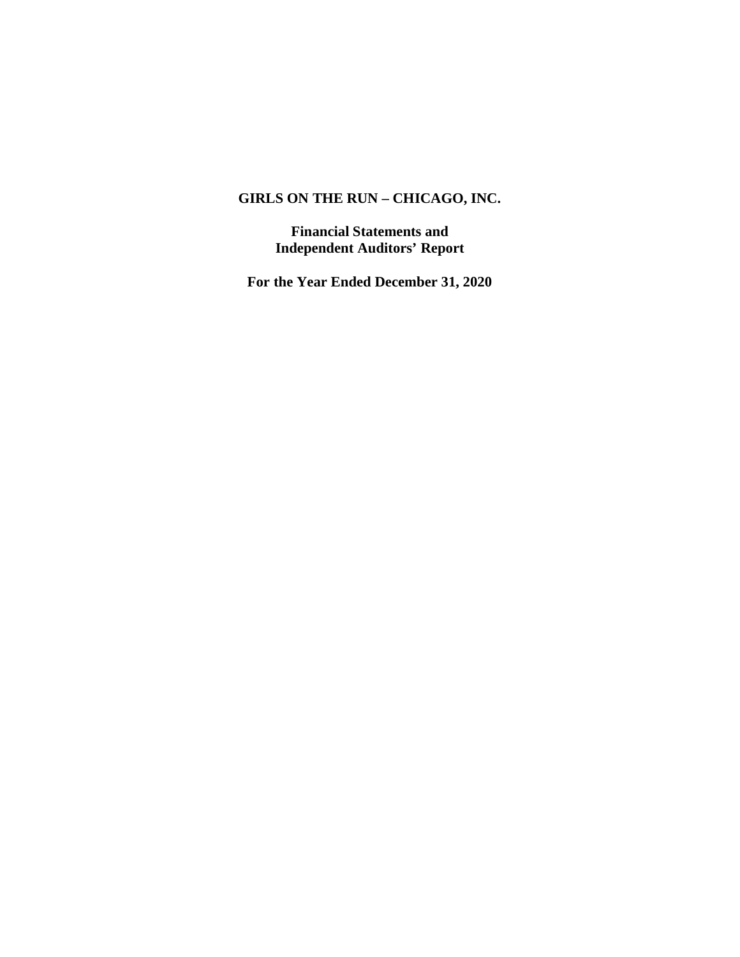**Financial Statements and Independent Auditors' Report**

**For the Year Ended December 31, 2020**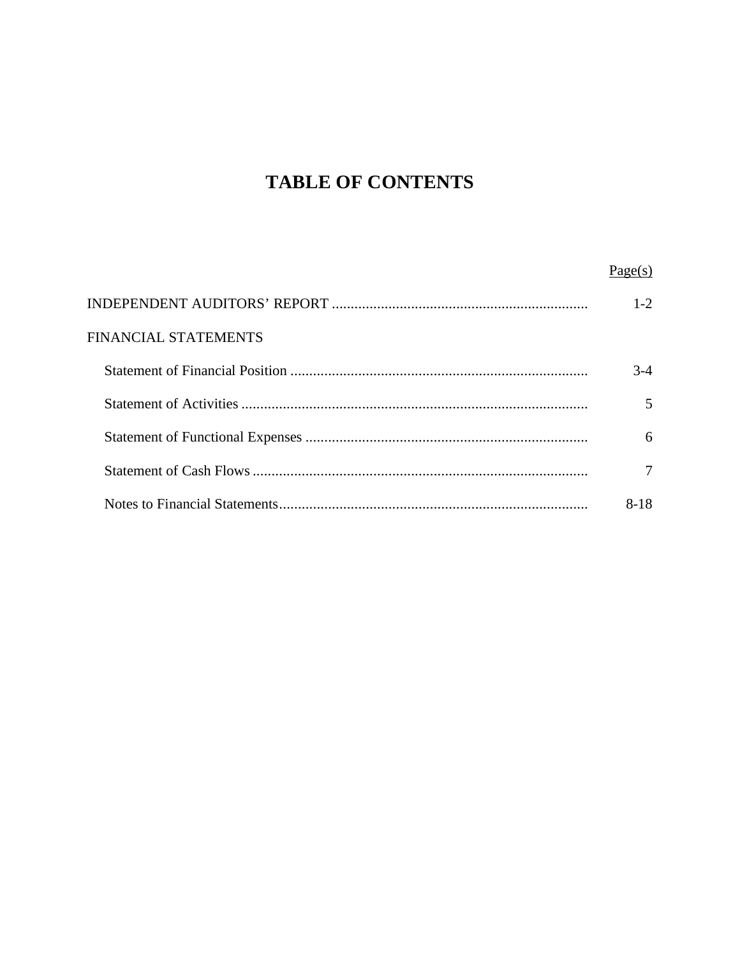# **TABLE OF CONTENTS**

|                             | Page(s)        |
|-----------------------------|----------------|
|                             | $1 - 2$        |
| <b>FINANCIAL STATEMENTS</b> |                |
|                             | $3-4$          |
|                             | $\overline{5}$ |
|                             | 6              |
|                             |                |
|                             | $8-18$         |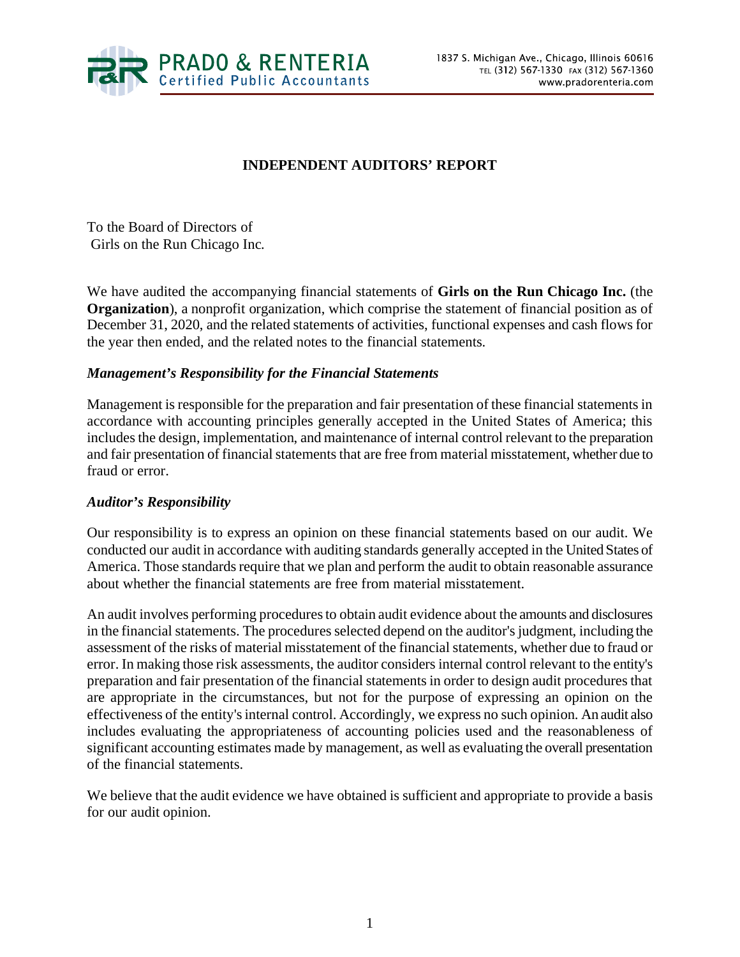

# **INDEPENDENT AUDITORS' REPORT**

To the Board of Directors of Girls on the Run Chicago Inc.

We have audited the accompanying financial statements of **Girls on the Run Chicago Inc.** (the **Organization**), a nonprofit organization, which comprise the statement of financial position as of December 31, 2020, and the related statements of activities, functional expenses and cash flows for the year then ended, and the related notes to the financial statements.

# *Management's Responsibility for the Financial Statements*

Management is responsible for the preparation and fair presentation of these financial statements in accordance with accounting principles generally accepted in the United States of America; this includes the design, implementation, and maintenance of internal control relevant to the preparation and fair presentation of financial statements that are free from material misstatement, whether due to fraud or error.

# *Auditor's Responsibility*

Our responsibility is to express an opinion on these financial statements based on our audit. We conducted our audit in accordance with auditing standards generally accepted in the United States of America. Those standards require that we plan and perform the audit to obtain reasonable assurance about whether the financial statements are free from material misstatement.

An audit involves performing procedures to obtain audit evidence about the amounts and disclosures in the financial statements. The procedures selected depend on the auditor's judgment, including the assessment of the risks of material misstatement of the financial statements, whether due to fraud or error. In making those risk assessments, the auditor considers internal control relevant to the entity's preparation and fair presentation of the financial statements in order to design audit procedures that are appropriate in the circumstances, but not for the purpose of expressing an opinion on the effectiveness of the entity's internal control. Accordingly, we express no such opinion. An audit also includes evaluating the appropriateness of accounting policies used and the reasonableness of significant accounting estimates made by management, as well as evaluating the overall presentation of the financial statements.

We believe that the audit evidence we have obtained is sufficient and appropriate to provide a basis for our audit opinion.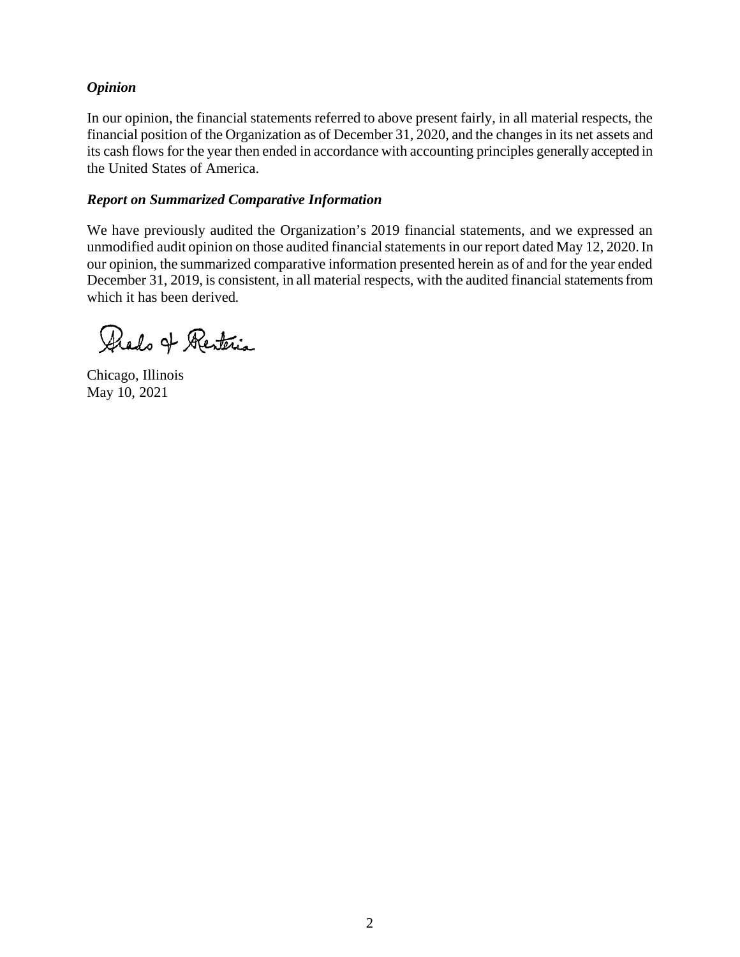# *Opinion*

In our opinion, the financial statements referred to above present fairly, in all material respects, the financial position of the Organization as of December 31, 2020, and the changes in its net assets and its cash flows for the year then ended in accordance with accounting principles generally accepted in the United States of America.

# *Report on Summarized Comparative Information*

We have previously audited the Organization's 2019 financial statements, and we expressed an unmodified audit opinion on those audited financial statements in our report dated May 12, 2020. In our opinion, the summarized comparative information presented herein as of and for the year ended December 31, 2019, is consistent, in all material respects, with the audited financial statements from which it has been derived.

Redo & Resteria

Chicago, Illinois May 10, 2021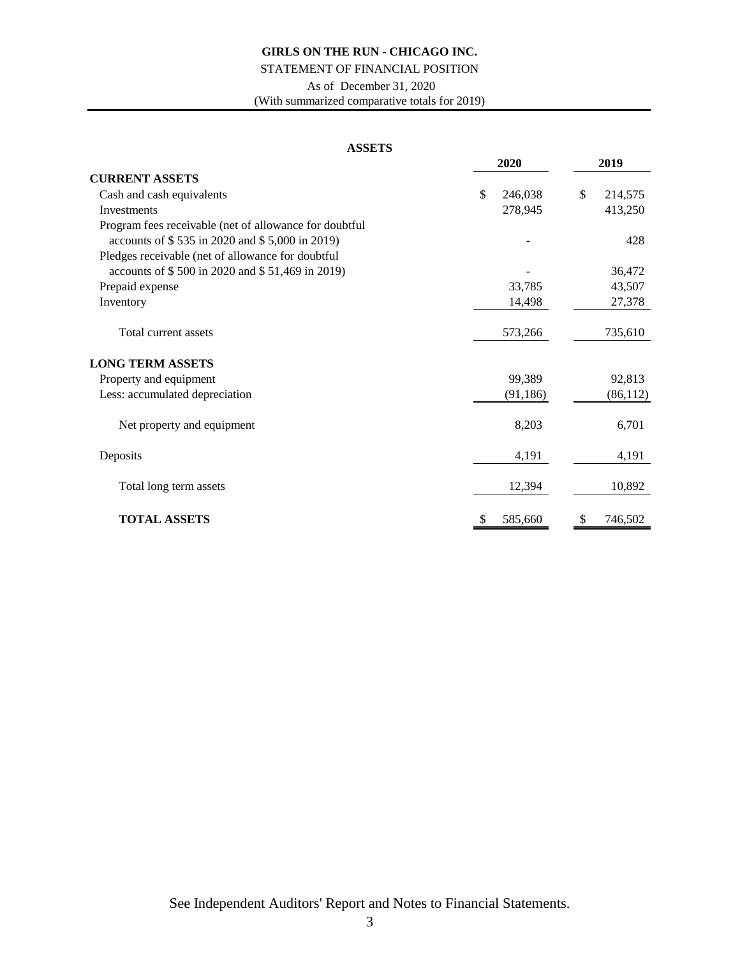#### STATEMENT OF FINANCIAL POSITION

 As of December 31, 2020 (With summarized comparative totals for 2019)

#### **ASSETS**

|                                                        | 2020          | 2019          |  |  |
|--------------------------------------------------------|---------------|---------------|--|--|
| <b>CURRENT ASSETS</b>                                  |               |               |  |  |
| Cash and cash equivalents                              | \$<br>246,038 | \$<br>214,575 |  |  |
| Investments                                            | 278,945       | 413,250       |  |  |
| Program fees receivable (net of allowance for doubtful |               |               |  |  |
| accounts of \$535 in 2020 and \$5,000 in 2019)         |               | 428           |  |  |
| Pledges receivable (net of allowance for doubtful      |               |               |  |  |
| accounts of \$500 in 2020 and \$51,469 in 2019)        |               | 36,472        |  |  |
| Prepaid expense                                        | 33,785        | 43,507        |  |  |
| Inventory                                              | 14,498        | 27,378        |  |  |
| Total current assets                                   | 573,266       | 735,610       |  |  |
| <b>LONG TERM ASSETS</b>                                |               |               |  |  |
| Property and equipment                                 | 99,389        | 92,813        |  |  |
| Less: accumulated depreciation                         | (91, 186)     | (86, 112)     |  |  |
| Net property and equipment                             | 8,203         | 6,701         |  |  |
| Deposits                                               | 4,191         | 4,191         |  |  |
| Total long term assets                                 | 12,394        | 10,892        |  |  |
| <b>TOTAL ASSETS</b>                                    | \$<br>585,660 | 746,502<br>Ъ  |  |  |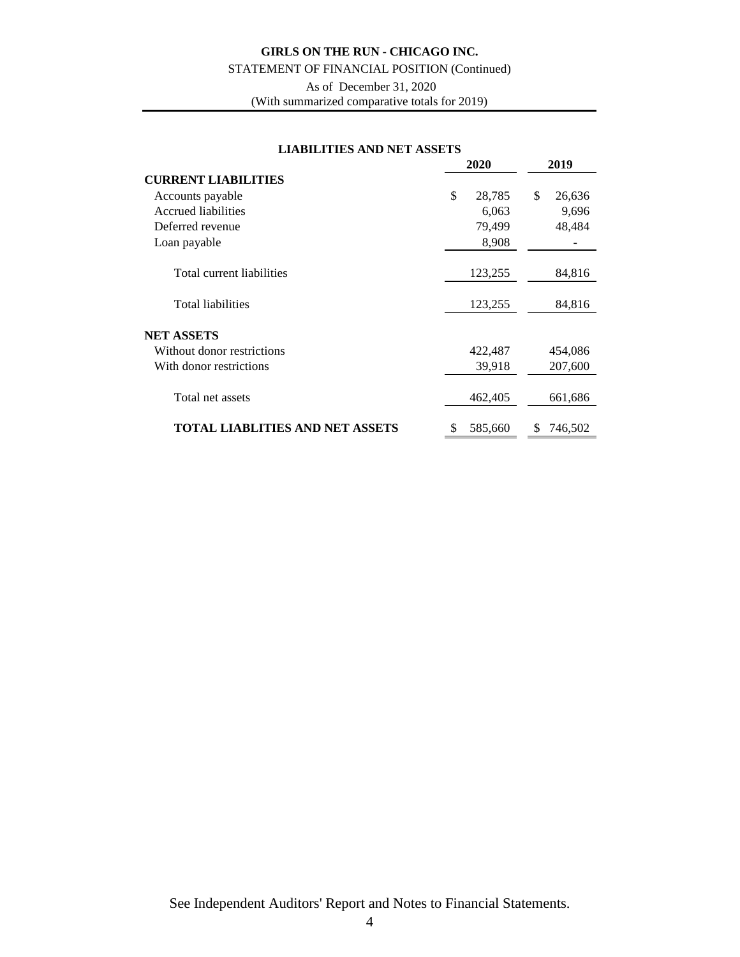# **GIRLS ON THE RUN - CHICAGO INC.** STATEMENT OF FINANCIAL POSITION (Continued) As of December 31, 2020 (With summarized comparative totals for 2019)

|                                        | 2020          | 2019         |
|----------------------------------------|---------------|--------------|
| <b>CURRENT LIABILITIES</b>             |               |              |
| Accounts payable                       | \$<br>28,785  | \$<br>26,636 |
| Accrued liabilities                    | 6,063         | 9,696        |
| Deferred revenue                       | 79,499        | 48,484       |
| Loan payable                           | 8,908         |              |
| Total current liabilities              | 123,255       | 84,816       |
| Total liabilities                      | 123,255       | 84,816       |
| <b>NET ASSETS</b>                      |               |              |
| Without donor restrictions             | 422,487       | 454,086      |
| With donor restrictions                | 39,918        | 207,600      |
| Total net assets                       | 462,405       | 661,686      |
| <b>TOTAL LIABLITIES AND NET ASSETS</b> | 585,660<br>\$ | 746,502<br>S |

#### **LIABILITIES AND NET ASSETS**

See Independent Auditors' Report and Notes to Financial Statements.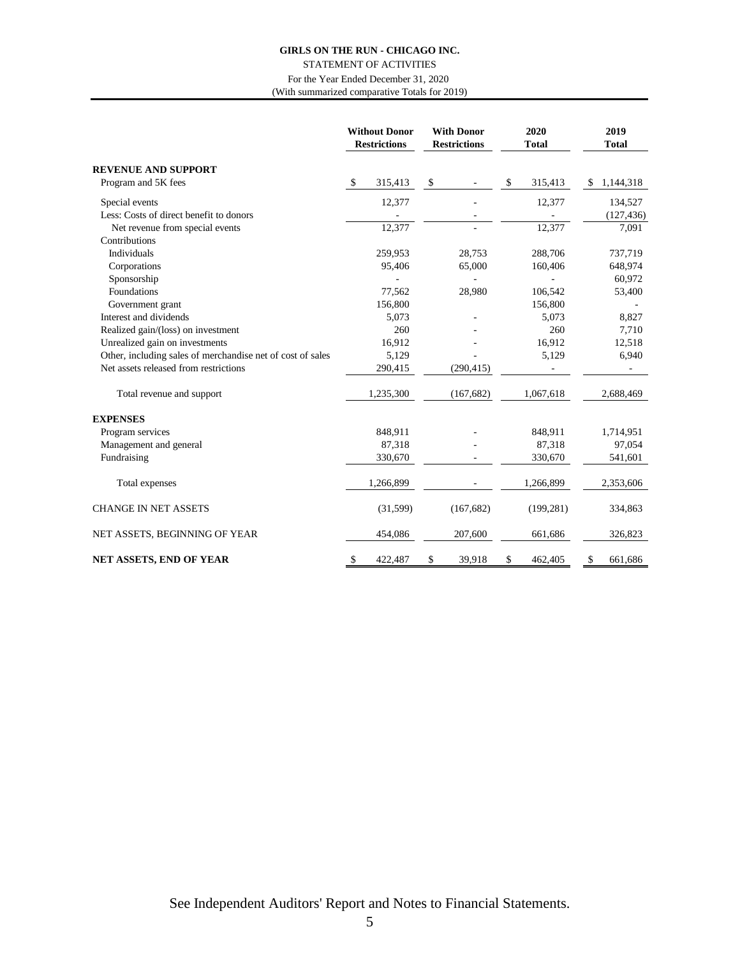### STATEMENT OF ACTIVITIES

For the Year Ended December 31, 2020

(With summarized comparative Totals for 2019)

|                                                            |    | <b>Without Donor</b><br><b>Restrictions</b> | <b>With Donor</b><br><b>Restrictions</b> | 2020<br><b>Total</b> | 2019<br><b>Total</b> |
|------------------------------------------------------------|----|---------------------------------------------|------------------------------------------|----------------------|----------------------|
| <b>REVENUE AND SUPPORT</b>                                 |    |                                             |                                          |                      |                      |
| Program and 5K fees                                        | \$ | 315,413                                     | \$                                       | \$<br>315,413        | \$<br>1,144,318      |
| Special events                                             |    | 12,377                                      |                                          | 12,377               | 134,527              |
| Less: Costs of direct benefit to donors                    |    |                                             |                                          |                      | (127, 436)           |
| Net revenue from special events                            |    | 12,377                                      |                                          | 12,377               | 7,091                |
| Contributions                                              |    |                                             |                                          |                      |                      |
| Individuals                                                |    | 259,953                                     | 28,753                                   | 288,706              | 737,719              |
| Corporations                                               |    | 95,406                                      | 65,000                                   | 160,406              | 648,974              |
| Sponsorship                                                |    |                                             |                                          |                      | 60,972               |
| Foundations                                                |    | 77,562                                      | 28,980                                   | 106,542              | 53,400               |
| Government grant                                           |    | 156,800                                     |                                          | 156,800              |                      |
| Interest and dividends                                     |    | 5,073                                       |                                          | 5,073                | 8,827                |
| Realized gain/(loss) on investment                         |    | 260                                         |                                          | 260                  | 7,710                |
| Unrealized gain on investments                             |    | 16,912                                      |                                          | 16,912               | 12,518               |
| Other, including sales of merchandise net of cost of sales |    | 5,129                                       |                                          | 5,129                | 6,940                |
| Net assets released from restrictions                      |    | 290,415                                     | (290, 415)                               |                      |                      |
| Total revenue and support                                  |    | 1,235,300                                   | (167, 682)                               | 1,067,618            | 2,688,469            |
| <b>EXPENSES</b>                                            |    |                                             |                                          |                      |                      |
| Program services                                           |    | 848,911                                     |                                          | 848,911              | 1,714,951            |
| Management and general                                     |    | 87,318                                      |                                          | 87,318               | 97,054               |
| Fundraising                                                |    | 330,670                                     |                                          | 330,670              | 541,601              |
| Total expenses                                             |    | 1,266,899                                   |                                          | 1,266,899            | 2,353,606            |
| <b>CHANGE IN NET ASSETS</b>                                |    | (31,599)                                    | (167, 682)                               | (199, 281)           | 334,863              |
| NET ASSETS, BEGINNING OF YEAR                              |    | 454,086                                     | 207,600                                  | 661,686              | 326,823              |
| <b>NET ASSETS, END OF YEAR</b>                             | \$ | 422,487                                     | \$<br>39,918                             | \$<br>462,405        | \$<br>661,686        |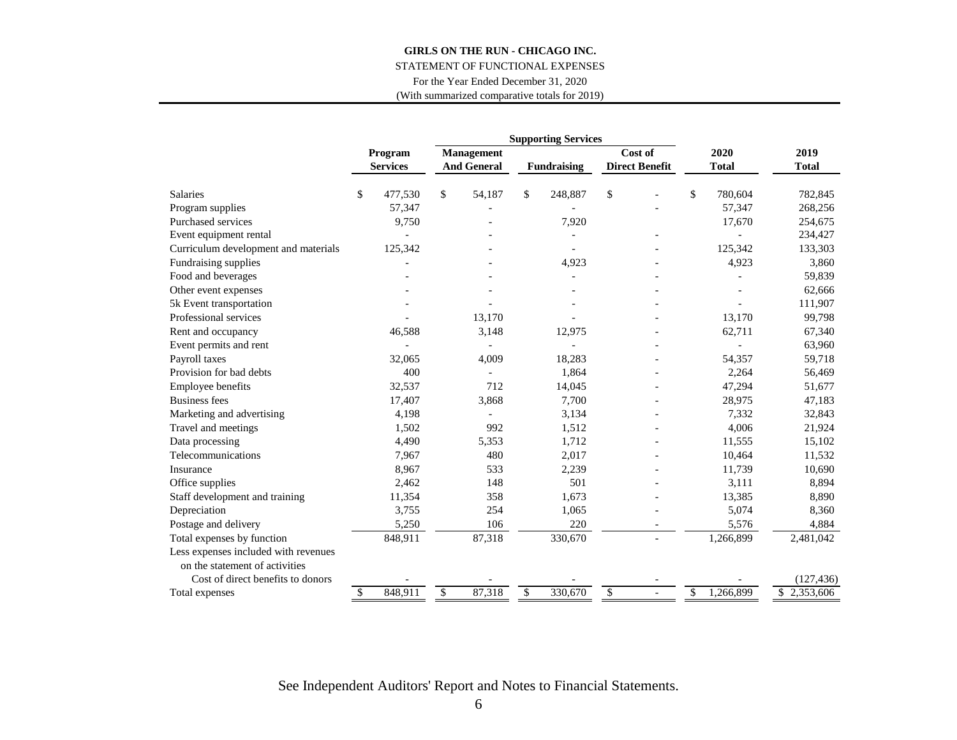#### STATEMENT OF FUNCTIONAL EXPENSES

For the Year Ended December 31, 2020

(With summarized comparative totals for 2019)

|                                                                        |                          | <b>Supporting Services</b> |    |                                                                                                   |    |         |                      |                          |                      |           |                         |
|------------------------------------------------------------------------|--------------------------|----------------------------|----|---------------------------------------------------------------------------------------------------|----|---------|----------------------|--------------------------|----------------------|-----------|-------------------------|
|                                                                        |                          | Program<br><b>Services</b> |    | Cost of<br><b>Management</b><br><b>Direct Benefit</b><br><b>And General</b><br><b>Fundraising</b> |    |         | 2020<br><b>Total</b> |                          | 2019<br><b>Total</b> |           |                         |
| <b>Salaries</b>                                                        | \$                       | 477,530                    | \$ | 54,187                                                                                            | \$ | 248,887 | \$                   |                          | \$                   | 780,604   | 782,845                 |
| Program supplies                                                       |                          | 57,347                     |    |                                                                                                   |    |         |                      |                          |                      | 57,347    | 268,256                 |
| Purchased services                                                     |                          | 9,750                      |    |                                                                                                   |    | 7,920   |                      |                          |                      | 17,670    | 254,675                 |
| Event equipment rental                                                 |                          |                            |    |                                                                                                   |    |         |                      |                          |                      |           | 234,427                 |
| Curriculum development and materials                                   |                          | 125,342                    |    |                                                                                                   |    |         |                      |                          |                      | 125,342   | 133,303                 |
| Fundraising supplies                                                   |                          |                            |    |                                                                                                   |    | 4,923   |                      |                          |                      | 4,923     | 3,860                   |
| Food and beverages                                                     |                          |                            |    |                                                                                                   |    |         |                      |                          |                      |           | 59,839                  |
| Other event expenses                                                   |                          |                            |    |                                                                                                   |    |         |                      |                          |                      |           | 62,666                  |
| 5k Event transportation                                                |                          |                            |    |                                                                                                   |    |         |                      |                          |                      |           | 111,907                 |
| Professional services                                                  |                          |                            |    | 13,170                                                                                            |    |         |                      |                          |                      | 13,170    | 99,798                  |
| Rent and occupancy                                                     |                          | 46,588                     |    | 3,148                                                                                             |    | 12,975  |                      |                          |                      | 62,711    | 67,340                  |
| Event permits and rent                                                 |                          |                            |    |                                                                                                   |    |         |                      |                          |                      |           | 63,960                  |
| Payroll taxes                                                          |                          | 32,065                     |    | 4,009                                                                                             |    | 18,283  |                      |                          |                      | 54,357    | 59,718                  |
| Provision for bad debts                                                |                          | 400                        |    |                                                                                                   |    | 1,864   |                      |                          |                      | 2,264     | 56,469                  |
| Employee benefits                                                      |                          | 32,537                     |    | 712                                                                                               |    | 14,045  |                      |                          |                      | 47,294    | 51,677                  |
| <b>Business fees</b>                                                   |                          | 17,407                     |    | 3,868                                                                                             |    | 7,700   |                      |                          |                      | 28,975    | 47,183                  |
| Marketing and advertising                                              |                          | 4,198                      |    |                                                                                                   |    | 3,134   |                      |                          |                      | 7,332     | 32,843                  |
| Travel and meetings                                                    |                          | 1,502                      |    | 992                                                                                               |    | 1,512   |                      |                          |                      | 4,006     | 21,924                  |
| Data processing                                                        |                          | 4,490                      |    | 5,353                                                                                             |    | 1,712   |                      |                          |                      | 11,555    | 15,102                  |
| Telecommunications                                                     |                          | 7,967                      |    | 480                                                                                               |    | 2,017   |                      |                          |                      | 10,464    | 11,532                  |
| Insurance                                                              |                          | 8,967                      |    | 533                                                                                               |    | 2,239   |                      |                          |                      | 11,739    | 10,690                  |
| Office supplies                                                        |                          | 2,462                      |    | 148                                                                                               |    | 501     |                      |                          |                      | 3,111     | 8,894                   |
| Staff development and training                                         |                          | 11,354                     |    | 358                                                                                               |    | 1,673   |                      |                          |                      | 13,385    | 8,890                   |
| Depreciation                                                           |                          | 3,755                      |    | 254                                                                                               |    | 1,065   |                      |                          |                      | 5,074     | 8,360                   |
| Postage and delivery                                                   |                          | 5,250                      |    | 106                                                                                               |    | 220     |                      |                          |                      | 5,576     | 4,884                   |
| Total expenses by function                                             |                          | 848,911                    |    | 87,318                                                                                            |    | 330,670 |                      |                          |                      | 1,266,899 | 2,481,042               |
| Less expenses included with revenues<br>on the statement of activities |                          |                            |    |                                                                                                   |    |         |                      |                          |                      |           |                         |
| Cost of direct benefits to donors                                      |                          |                            |    |                                                                                                   |    |         |                      |                          |                      |           | (127, 436)              |
| Total expenses                                                         | $\overline{\mathcal{S}}$ | 848,911                    | \$ | 87,318                                                                                            | \$ | 330,670 | \$                   | $\overline{\phantom{a}}$ | $\overline{\$}$      | 1,266,899 | $\overline{$}2,353,606$ |

See Independent Auditors' Report and Notes to Financial Statements.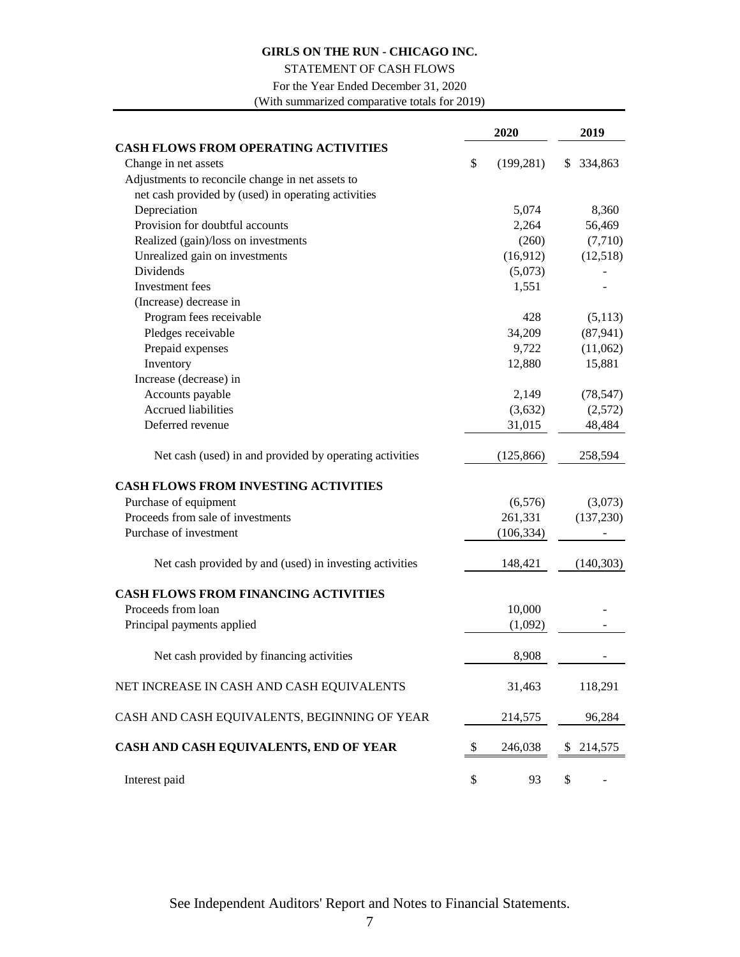STATEMENT OF CASH FLOWS

For the Year Ended December 31, 2020

(With summarized comparative totals for 2019)

|                                                         | 2020             | 2019          |
|---------------------------------------------------------|------------------|---------------|
| <b>CASH FLOWS FROM OPERATING ACTIVITIES</b>             |                  |               |
| Change in net assets                                    | \$<br>(199, 281) | \$ 334,863    |
| Adjustments to reconcile change in net assets to        |                  |               |
| net cash provided by (used) in operating activities     |                  |               |
| Depreciation                                            | 5,074            | 8,360         |
| Provision for doubtful accounts                         | 2,264            | 56,469        |
| Realized (gain)/loss on investments                     | (260)            | (7,710)       |
| Unrealized gain on investments                          | (16,912)         | (12,518)      |
| Dividends                                               | (5,073)          |               |
| Investment fees                                         | 1,551            |               |
| (Increase) decrease in                                  |                  |               |
| Program fees receivable                                 | 428              | (5,113)       |
| Pledges receivable                                      | 34,209           | (87, 941)     |
| Prepaid expenses                                        | 9,722            | (11,062)      |
| Inventory                                               | 12,880           | 15,881        |
| Increase (decrease) in                                  |                  |               |
| Accounts payable                                        | 2,149            | (78, 547)     |
| <b>Accrued liabilities</b>                              | (3,632)          | (2,572)       |
| Deferred revenue                                        | 31,015           | 48,484        |
| Net cash (used) in and provided by operating activities | (125, 866)       | 258,594       |
| <b>CASH FLOWS FROM INVESTING ACTIVITIES</b>             |                  |               |
| Purchase of equipment                                   | (6,576)          | (3,073)       |
| Proceeds from sale of investments                       | 261,331          | (137,230)     |
| Purchase of investment                                  | (106, 334)       |               |
|                                                         |                  |               |
| Net cash provided by and (used) in investing activities | 148,421          | (140, 303)    |
| <b>CASH FLOWS FROM FINANCING ACTIVITIES</b>             |                  |               |
| Proceeds from loan                                      | 10,000           |               |
| Principal payments applied                              | (1,092)          |               |
| Net cash provided by financing activities               | 8,908            |               |
| NET INCREASE IN CASH AND CASH EQUIVALENTS               | 31,463           | 118,291       |
| CASH AND CASH EQUIVALENTS, BEGINNING OF YEAR            | 214,575          | 96,284        |
| CASH AND CASH EQUIVALENTS, END OF YEAR                  | \$<br>246,038    | \$<br>214,575 |
| Interest paid                                           | \$<br>93         | \$            |

See Independent Auditors' Report and Notes to Financial Statements.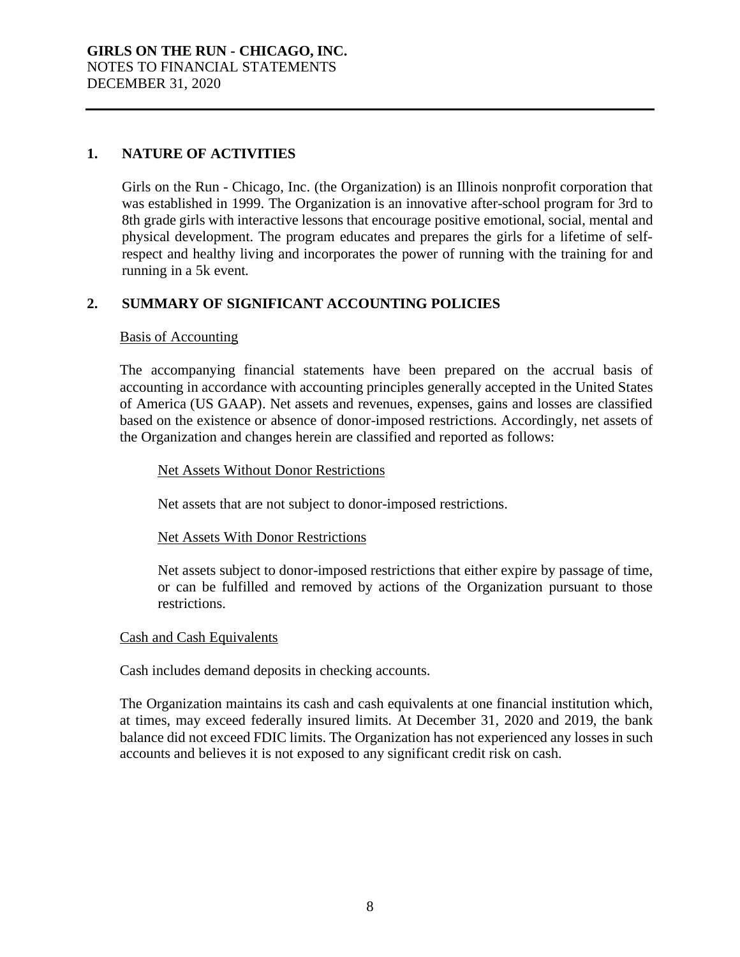# **1. NATURE OF ACTIVITIES**

Girls on the Run - Chicago, Inc. (the Organization) is an Illinois nonprofit corporation that was established in 1999. The Organization is an innovative after-school program for 3rd to 8th grade girls with interactive lessons that encourage positive emotional, social, mental and physical development. The program educates and prepares the girls for a lifetime of selfrespect and healthy living and incorporates the power of running with the training for and running in a 5k event.

# **2. SUMMARY OF SIGNIFICANT ACCOUNTING POLICIES**

### Basis of Accounting

The accompanying financial statements have been prepared on the accrual basis of accounting in accordance with accounting principles generally accepted in the United States of America (US GAAP). Net assets and revenues, expenses, gains and losses are classified based on the existence or absence of donor-imposed restrictions. Accordingly, net assets of the Organization and changes herein are classified and reported as follows:

### Net Assets Without Donor Restrictions

Net assets that are not subject to donor-imposed restrictions.

# Net Assets With Donor Restrictions

Net assets subject to donor-imposed restrictions that either expire by passage of time, or can be fulfilled and removed by actions of the Organization pursuant to those restrictions.

### Cash and Cash Equivalents

Cash includes demand deposits in checking accounts.

The Organization maintains its cash and cash equivalents at one financial institution which, at times, may exceed federally insured limits. At December 31, 2020 and 2019, the bank balance did not exceed FDIC limits. The Organization has not experienced any losses in such accounts and believes it is not exposed to any significant credit risk on cash.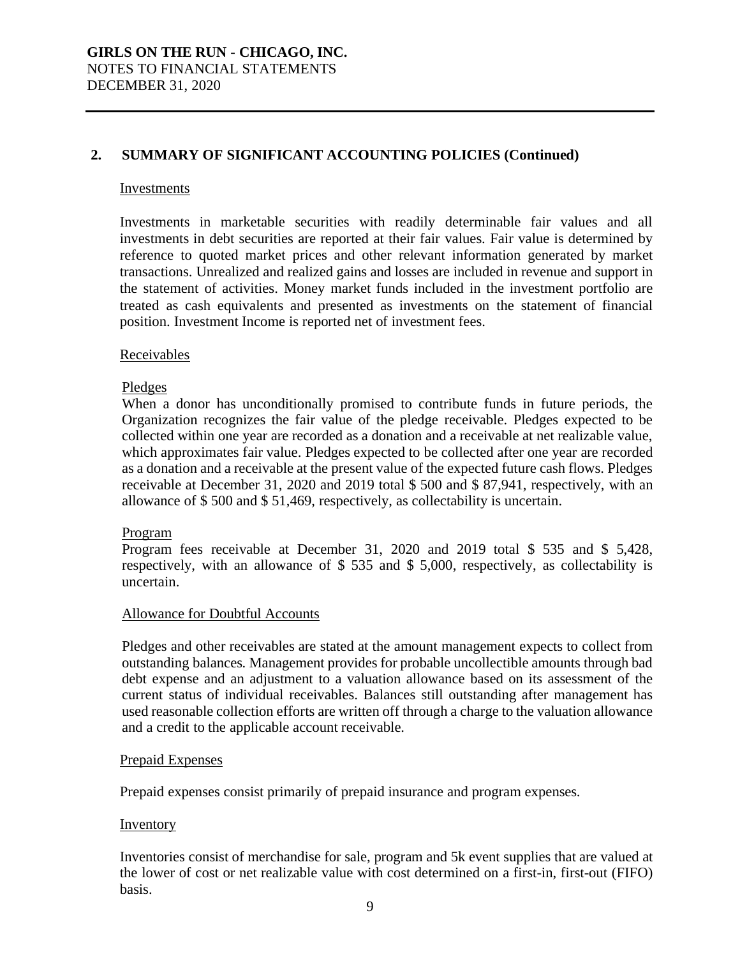#### Investments

Investments in marketable securities with readily determinable fair values and all investments in debt securities are reported at their fair values. Fair value is determined by reference to quoted market prices and other relevant information generated by market transactions. Unrealized and realized gains and losses are included in revenue and support in the statement of activities. Money market funds included in the investment portfolio are treated as cash equivalents and presented as investments on the statement of financial position. Investment Income is reported net of investment fees.

### Receivables

#### Pledges

When a donor has unconditionally promised to contribute funds in future periods, the Organization recognizes the fair value of the pledge receivable. Pledges expected to be collected within one year are recorded as a donation and a receivable at net realizable value, which approximates fair value. Pledges expected to be collected after one year are recorded as a donation and a receivable at the present value of the expected future cash flows. Pledges receivable at December 31, 2020 and 2019 total \$ 500 and \$ 87,941, respectively, with an allowance of \$ 500 and \$ 51,469, respectively, as collectability is uncertain.

#### Program

Program fees receivable at December 31, 2020 and 2019 total \$ 535 and \$ 5,428, respectively, with an allowance of \$ 535 and \$ 5,000, respectively, as collectability is uncertain.

### Allowance for Doubtful Accounts

Pledges and other receivables are stated at the amount management expects to collect from outstanding balances. Management provides for probable uncollectible amounts through bad debt expense and an adjustment to a valuation allowance based on its assessment of the current status of individual receivables. Balances still outstanding after management has used reasonable collection efforts are written off through a charge to the valuation allowance and a credit to the applicable account receivable.

### Prepaid Expenses

Prepaid expenses consist primarily of prepaid insurance and program expenses.

### Inventory

Inventories consist of merchandise for sale, program and 5k event supplies that are valued at the lower of cost or net realizable value with cost determined on a first-in, first-out (FIFO) basis.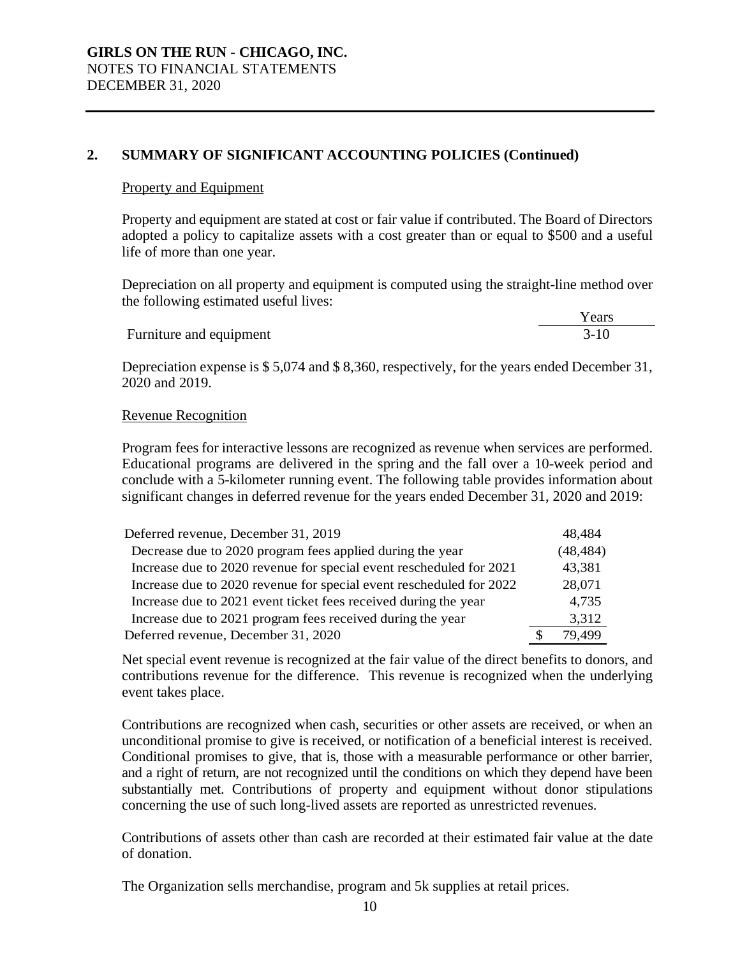#### Property and Equipment

Property and equipment are stated at cost or fair value if contributed. The Board of Directors adopted a policy to capitalize assets with a cost greater than or equal to \$500 and a useful life of more than one year.

Depreciation on all property and equipment is computed using the straight-line method over the following estimated useful lives:

|                         | Years  |
|-------------------------|--------|
| Furniture and equipment | $3-10$ |

Depreciation expense is \$ 5,074 and \$ 8,360, respectively, for the years ended December 31, 2020 and 2019.

### Revenue Recognition

Program fees for interactive lessons are recognized as revenue when services are performed. Educational programs are delivered in the spring and the fall over a 10-week period and conclude with a 5-kilometer running event. The following table provides information about significant changes in deferred revenue for the years ended December 31, 2020 and 2019:

| Deferred revenue, December 31, 2019                                 |     | 48,484    |
|---------------------------------------------------------------------|-----|-----------|
| Decrease due to 2020 program fees applied during the year           |     | (48, 484) |
| Increase due to 2020 revenue for special event rescheduled for 2021 |     | 43,381    |
| Increase due to 2020 revenue for special event rescheduled for 2022 |     | 28,071    |
| Increase due to 2021 event ticket fees received during the year     |     | 4,735     |
| Increase due to 2021 program fees received during the year          |     | 3,312     |
| Deferred revenue, December 31, 2020                                 | SS. | 79 499    |

Net special event revenue is recognized at the fair value of the direct benefits to donors, and contributions revenue for the difference. This revenue is recognized when the underlying event takes place.

Contributions are recognized when cash, securities or other assets are received, or when an unconditional promise to give is received, or notification of a beneficial interest is received. Conditional promises to give, that is, those with a measurable performance or other barrier, and a right of return, are not recognized until the conditions on which they depend have been substantially met. Contributions of property and equipment without donor stipulations concerning the use of such long-lived assets are reported as unrestricted revenues.

Contributions of assets other than cash are recorded at their estimated fair value at the date of donation.

The Organization sells merchandise, program and 5k supplies at retail prices.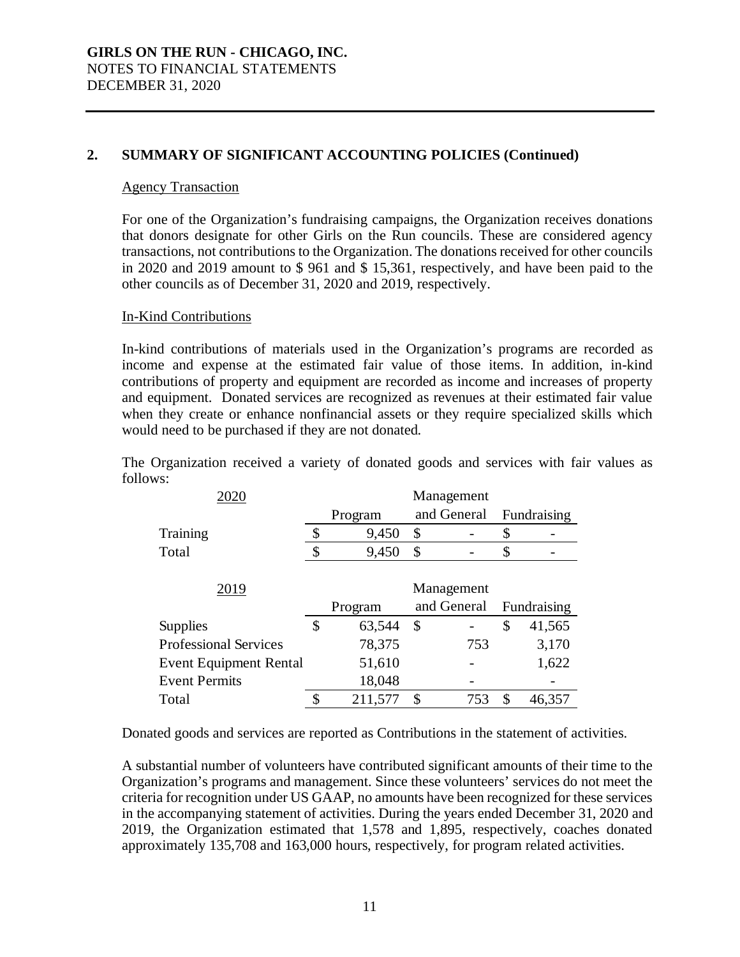### Agency Transaction

For one of the Organization's fundraising campaigns, the Organization receives donations that donors designate for other Girls on the Run councils. These are considered agency transactions, not contributions to the Organization. The donations received for other councils in 2020 and 2019 amount to \$ 961 and \$ 15,361, respectively, and have been paid to the other councils as of December 31, 2020 and 2019, respectively.

### In-Kind Contributions

In-kind contributions of materials used in the Organization's programs are recorded as income and expense at the estimated fair value of those items. In addition, in-kind contributions of property and equipment are recorded as income and increases of property and equipment. Donated services are recognized as revenues at their estimated fair value when they create or enhance nonfinancial assets or they require specialized skills which would need to be purchased if they are not donated.

The Organization received a variety of donated goods and services with fair values as follows:

| 2020                          |              | Management  |              |
|-------------------------------|--------------|-------------|--------------|
|                               | Program      | and General | Fundraising  |
| Training                      | \$<br>9,450  | \$          | \$           |
| Total                         | \$<br>9,450  | \$          | \$           |
|                               |              |             |              |
| 2019                          |              | Management  |              |
|                               |              |             |              |
|                               | Program      | and General | Fundraising  |
| <b>Supplies</b>               | \$<br>63,544 | \$          | \$<br>41,565 |
| <b>Professional Services</b>  | 78,375       | 753         | 3,170        |
| <b>Event Equipment Rental</b> | 51,610       |             | 1,622        |
| <b>Event Permits</b>          | 18,048       |             |              |

Donated goods and services are reported as Contributions in the statement of activities.

A substantial number of volunteers have contributed significant amounts of their time to the Organization's programs and management. Since these volunteers' services do not meet the criteria for recognition under US GAAP, no amounts have been recognized for these services in the accompanying statement of activities. During the years ended December 31, 2020 and 2019, the Organization estimated that 1,578 and 1,895, respectively, coaches donated approximately 135,708 and 163,000 hours, respectively, for program related activities.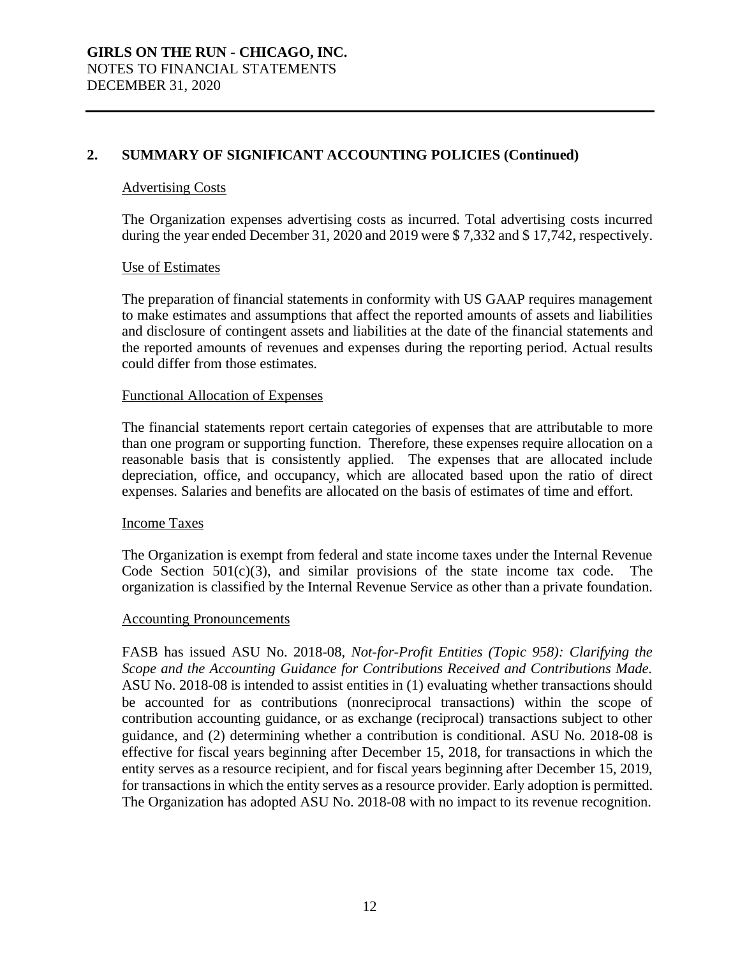### Advertising Costs

The Organization expenses advertising costs as incurred. Total advertising costs incurred during the year ended December 31, 2020 and 2019 were \$ 7,332 and \$ 17,742, respectively.

### Use of Estimates

The preparation of financial statements in conformity with US GAAP requires management to make estimates and assumptions that affect the reported amounts of assets and liabilities and disclosure of contingent assets and liabilities at the date of the financial statements and the reported amounts of revenues and expenses during the reporting period. Actual results could differ from those estimates.

### Functional Allocation of Expenses

The financial statements report certain categories of expenses that are attributable to more than one program or supporting function. Therefore, these expenses require allocation on a reasonable basis that is consistently applied. The expenses that are allocated include depreciation, office, and occupancy, which are allocated based upon the ratio of direct expenses. Salaries and benefits are allocated on the basis of estimates of time and effort.

### Income Taxes

The Organization is exempt from federal and state income taxes under the Internal Revenue Code Section  $501(c)(3)$ , and similar provisions of the state income tax code. The organization is classified by the Internal Revenue Service as other than a private foundation.

### Accounting Pronouncements

FASB has issued ASU No. 2018-08, *Not-for-Profit Entities (Topic 958): Clarifying the Scope and the Accounting Guidance for Contributions Received and Contributions Made.* ASU No. 2018-08 is intended to assist entities in (1) evaluating whether transactions should be accounted for as contributions (nonreciprocal transactions) within the scope of contribution accounting guidance, or as exchange (reciprocal) transactions subject to other guidance, and (2) determining whether a contribution is conditional. ASU No. 2018-08 is effective for fiscal years beginning after December 15, 2018, for transactions in which the entity serves as a resource recipient, and for fiscal years beginning after December 15, 2019, for transactions in which the entity serves as a resource provider. Early adoption is permitted. The Organization has adopted ASU No. 2018-08 with no impact to its revenue recognition.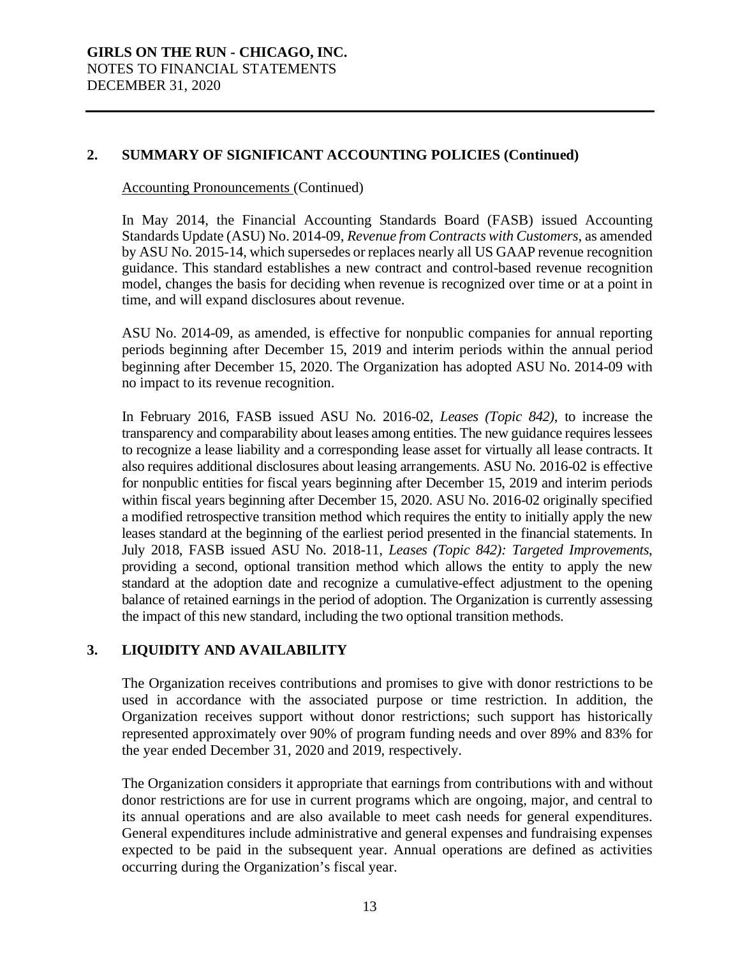#### Accounting Pronouncements (Continued)

In May 2014, the Financial Accounting Standards Board (FASB) issued Accounting Standards Update (ASU) No. 2014-09, *Revenue from Contracts with Customers*, as amended by ASU No. 2015-14, which supersedes or replaces nearly all US GAAP revenue recognition guidance. This standard establishes a new contract and control-based revenue recognition model, changes the basis for deciding when revenue is recognized over time or at a point in time, and will expand disclosures about revenue.

ASU No. 2014-09, as amended, is effective for nonpublic companies for annual reporting periods beginning after December 15, 2019 and interim periods within the annual period beginning after December 15, 2020. The Organization has adopted ASU No. 2014-09 with no impact to its revenue recognition.

In February 2016, FASB issued ASU No. 2016-02, *Leases (Topic 842)*, to increase the transparency and comparability about leases among entities. The new guidance requires lessees to recognize a lease liability and a corresponding lease asset for virtually all lease contracts. It also requires additional disclosures about leasing arrangements. ASU No. 2016-02 is effective for nonpublic entities for fiscal years beginning after December 15, 2019 and interim periods within fiscal years beginning after December 15, 2020. ASU No. 2016-02 originally specified a modified retrospective transition method which requires the entity to initially apply the new leases standard at the beginning of the earliest period presented in the financial statements. In July 2018, FASB issued ASU No. 2018-11, *Leases (Topic 842): Targeted Improvements*, providing a second, optional transition method which allows the entity to apply the new standard at the adoption date and recognize a cumulative-effect adjustment to the opening balance of retained earnings in the period of adoption. The Organization is currently assessing the impact of this new standard, including the two optional transition methods.

# **3. LIQUIDITY AND AVAILABILITY**

The Organization receives contributions and promises to give with donor restrictions to be used in accordance with the associated purpose or time restriction. In addition, the Organization receives support without donor restrictions; such support has historically represented approximately over 90% of program funding needs and over 89% and 83% for the year ended December 31, 2020 and 2019, respectively.

The Organization considers it appropriate that earnings from contributions with and without donor restrictions are for use in current programs which are ongoing, major, and central to its annual operations and are also available to meet cash needs for general expenditures. General expenditures include administrative and general expenses and fundraising expenses expected to be paid in the subsequent year. Annual operations are defined as activities occurring during the Organization's fiscal year.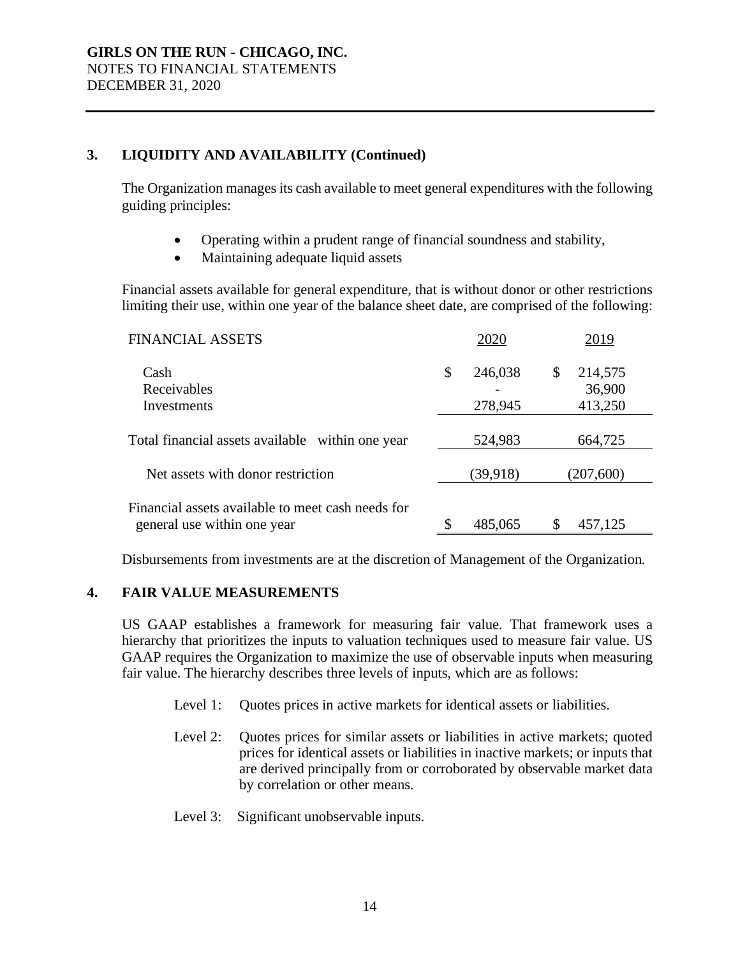# **3. LIQUIDITY AND AVAILABILITY (Continued)**

The Organization manages its cash available to meet general expenditures with the following guiding principles:

- Operating within a prudent range of financial soundness and stability,
- Maintaining adequate liquid assets

Financial assets available for general expenditure, that is without donor or other restrictions limiting their use, within one year of the balance sheet date, are comprised of the following:

| <b>FINANCIAL ASSETS</b>                                                          | 2020                     | 2019                               |
|----------------------------------------------------------------------------------|--------------------------|------------------------------------|
| Cash<br>Receivables<br>Investments                                               | \$<br>246,038<br>278,945 | \$<br>214,575<br>36,900<br>413,250 |
| Total financial assets available within one year                                 | 524,983                  | 664,725                            |
| Net assets with donor restriction                                                | (39, 918)                | (207, 600)                         |
| Financial assets available to meet cash needs for<br>general use within one year | \$<br>485,065            | 457,125                            |

Disbursements from investments are at the discretion of Management of the Organization.

# **4. FAIR VALUE MEASUREMENTS**

US GAAP establishes a framework for measuring fair value. That framework uses a hierarchy that prioritizes the inputs to valuation techniques used to measure fair value. US GAAP requires the Organization to maximize the use of observable inputs when measuring fair value. The hierarchy describes three levels of inputs, which are as follows:

- Level 1: Quotes prices in active markets for identical assets or liabilities.
- Level 2: Quotes prices for similar assets or liabilities in active markets; quoted prices for identical assets or liabilities in inactive markets; or inputs that are derived principally from or corroborated by observable market data by correlation or other means.
- Level 3: Significant unobservable inputs.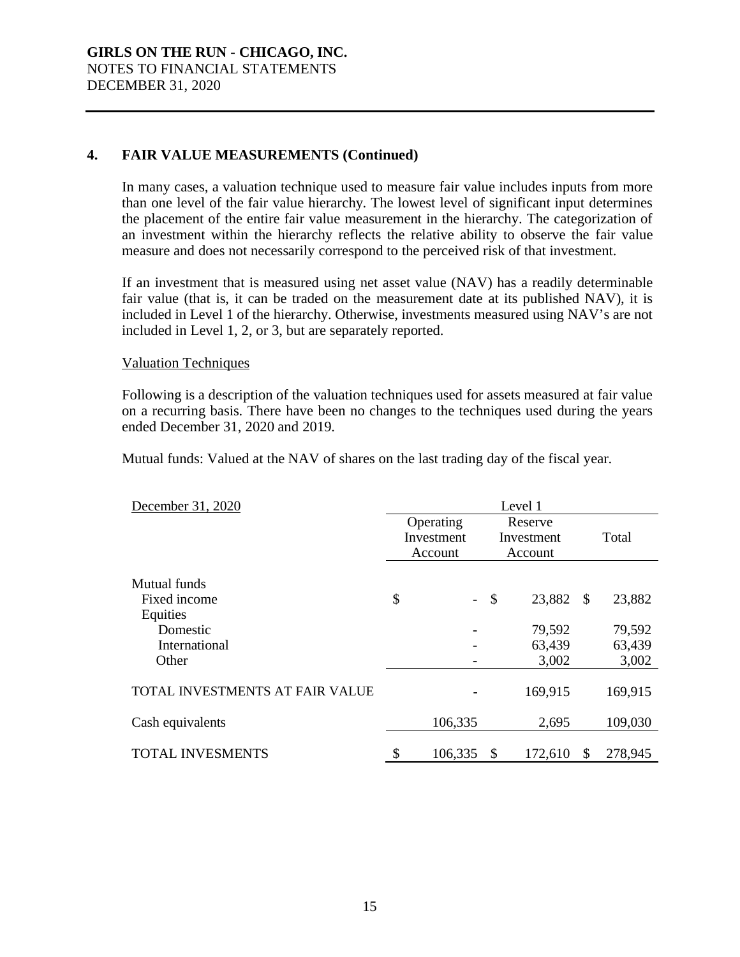# **4. FAIR VALUE MEASUREMENTS (Continued)**

In many cases, a valuation technique used to measure fair value includes inputs from more than one level of the fair value hierarchy. The lowest level of significant input determines the placement of the entire fair value measurement in the hierarchy. The categorization of an investment within the hierarchy reflects the relative ability to observe the fair value measure and does not necessarily correspond to the perceived risk of that investment.

If an investment that is measured using net asset value (NAV) has a readily determinable fair value (that is, it can be traded on the measurement date at its published NAV), it is included in Level 1 of the hierarchy. Otherwise, investments measured using NAV's are not included in Level 1, 2, or 3, but are separately reported.

### Valuation Techniques

Following is a description of the valuation techniques used for assets measured at fair value on a recurring basis. There have been no changes to the techniques used during the years ended December 31, 2020 and 2019.

Mutual funds: Valued at the NAV of shares on the last trading day of the fiscal year.

| December 31, 2020               | Level 1 |                                    |                                  |         |    |         |  |
|---------------------------------|---------|------------------------------------|----------------------------------|---------|----|---------|--|
|                                 |         | Operating<br>Investment<br>Account | Reserve<br>Investment<br>Account |         |    | Total   |  |
| <b>Mutual funds</b>             |         |                                    |                                  |         |    |         |  |
| Fixed income                    | \$      | $\sim$ $^{-1}$                     | $\mathcal{S}$                    | 23,882  | \$ | 23,882  |  |
| Equities                        |         |                                    |                                  |         |    |         |  |
| Domestic                        |         |                                    |                                  | 79,592  |    | 79,592  |  |
| International                   |         |                                    |                                  | 63,439  |    | 63,439  |  |
| Other                           |         |                                    |                                  | 3,002   |    | 3,002   |  |
| TOTAL INVESTMENTS AT FAIR VALUE |         |                                    |                                  | 169,915 |    | 169,915 |  |
| Cash equivalents                |         | 106,335                            |                                  | 2,695   |    | 109,030 |  |
| <b>TOTAL INVESMENTS</b>         | \$      | 106,335                            | \$                               | 172,610 | \$ | 278,945 |  |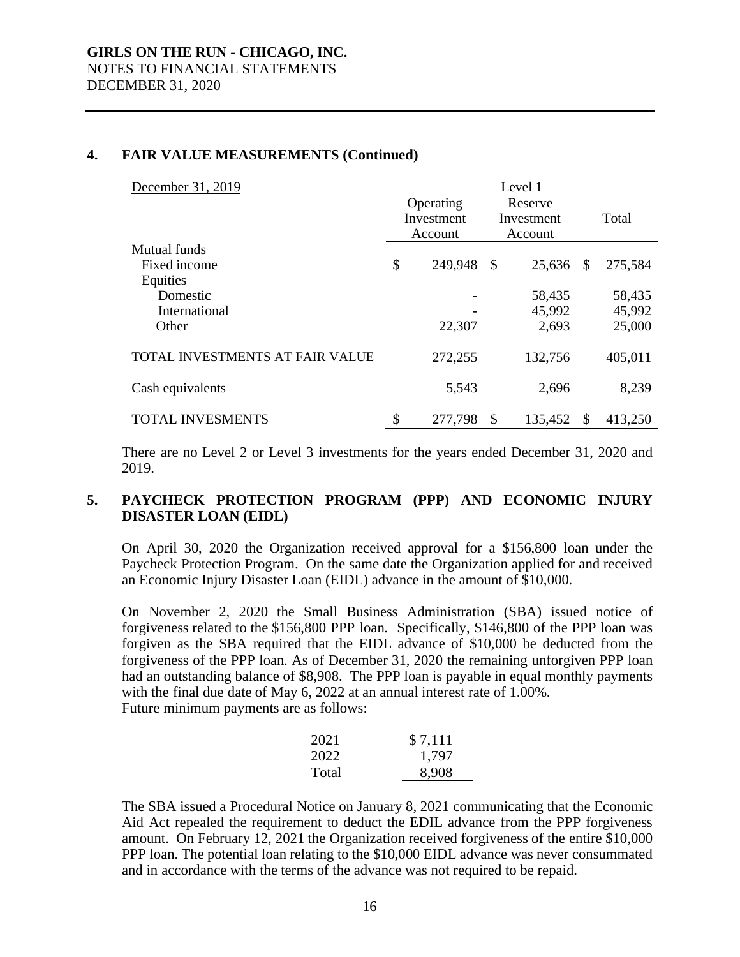# **4. FAIR VALUE MEASUREMENTS (Continued)**

| December 31, 2019               | Level 1 |                                    |    |                                  |               |         |  |  |
|---------------------------------|---------|------------------------------------|----|----------------------------------|---------------|---------|--|--|
|                                 |         | Operating<br>Investment<br>Account |    | Reserve<br>Investment<br>Account |               | Total   |  |  |
| Mutual funds                    |         |                                    |    |                                  |               |         |  |  |
| Fixed income                    | \$      | 249,948                            | \$ | 25,636                           | <sup>\$</sup> | 275,584 |  |  |
| Equities                        |         |                                    |    |                                  |               |         |  |  |
| Domestic                        |         |                                    |    | 58,435                           |               | 58,435  |  |  |
| International                   |         |                                    |    | 45,992                           |               | 45,992  |  |  |
| Other                           |         | 22,307                             |    | 2,693                            |               | 25,000  |  |  |
| TOTAL INVESTMENTS AT FAIR VALUE |         | 272,255                            |    | 132,756                          |               | 405,011 |  |  |
| Cash equivalents                |         | 5,543                              |    | 2,696                            |               | 8,239   |  |  |
| <b>TOTAL INVESMENTS</b>         | \$      |                                    | \$ |                                  |               |         |  |  |
|                                 |         | 277,798                            |    | 135,452                          |               | 413,250 |  |  |

There are no Level 2 or Level 3 investments for the years ended December 31, 2020 and 2019.

# **5. PAYCHECK PROTECTION PROGRAM (PPP) AND ECONOMIC INJURY DISASTER LOAN (EIDL)**

On April 30, 2020 the Organization received approval for a \$156,800 loan under the Paycheck Protection Program. On the same date the Organization applied for and received an Economic Injury Disaster Loan (EIDL) advance in the amount of \$10,000.

On November 2, 2020 the Small Business Administration (SBA) issued notice of forgiveness related to the \$156,800 PPP loan. Specifically, \$146,800 of the PPP loan was forgiven as the SBA required that the EIDL advance of \$10,000 be deducted from the forgiveness of the PPP loan. As of December 31, 2020 the remaining unforgiven PPP loan had an outstanding balance of \$8,908. The PPP loan is payable in equal monthly payments with the final due date of May 6, 2022 at an annual interest rate of 1.00%. Future minimum payments are as follows:

| 2021  | \$7,111 |
|-------|---------|
| 2022  | 1,797   |
| Total | 8,908   |

The SBA issued a Procedural Notice on January 8, 2021 communicating that the Economic Aid Act repealed the requirement to deduct the EDIL advance from the PPP forgiveness amount. On February 12, 2021 the Organization received forgiveness of the entire \$10,000 PPP loan. The potential loan relating to the \$10,000 EIDL advance was never consummated and in accordance with the terms of the advance was not required to be repaid.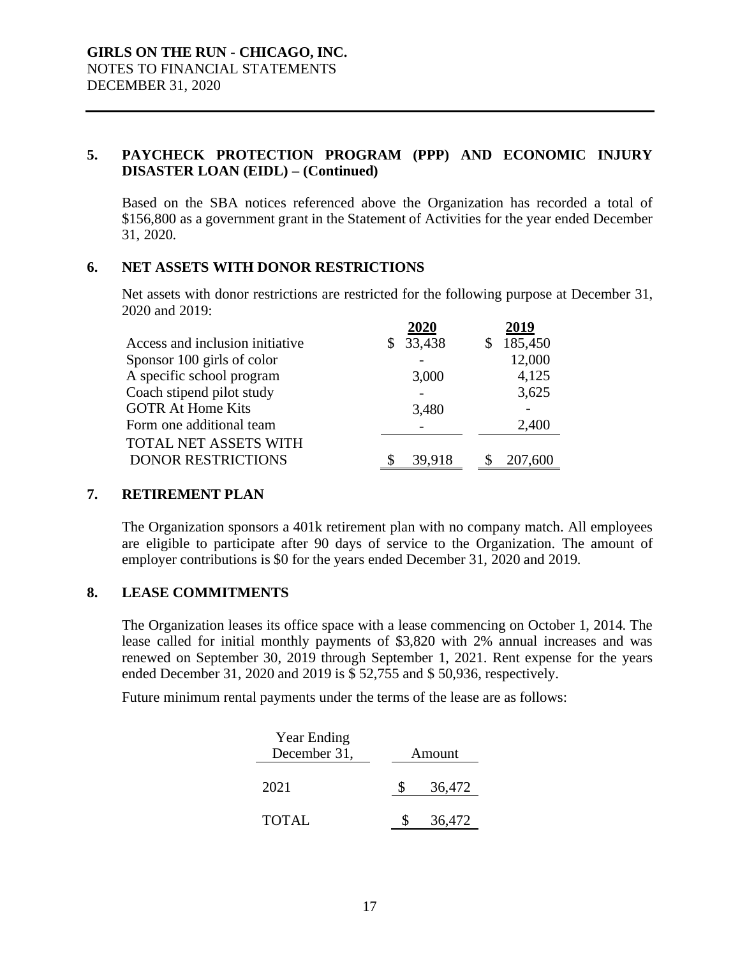# **5. PAYCHECK PROTECTION PROGRAM (PPP) AND ECONOMIC INJURY DISASTER LOAN (EIDL) – (Continued)**

Based on the SBA notices referenced above the Organization has recorded a total of \$156,800 as a government grant in the Statement of Activities for the year ended December 31, 2020.

### **6. NET ASSETS WITH DONOR RESTRICTIONS**

Net assets with donor restrictions are restricted for the following purpose at December 31, 2020 and 2019:

|                                 | 2020        | 2019          |
|---------------------------------|-------------|---------------|
| Access and inclusion initiative | 33,438<br>S | 185,450<br>\$ |
| Sponsor 100 girls of color      |             | 12,000        |
| A specific school program       | 3,000       | 4,125         |
| Coach stipend pilot study       |             | 3,625         |
| <b>GOTR At Home Kits</b>        | 3,480       |               |
| Form one additional team        |             | 2,400         |
| TOTAL NET ASSETS WITH           |             |               |
| <b>DONOR RESTRICTIONS</b>       | 39,918      | 207,600       |

### **7. RETIREMENT PLAN**

The Organization sponsors a 401k retirement plan with no company match. All employees are eligible to participate after 90 days of service to the Organization. The amount of employer contributions is \$0 for the years ended December 31, 2020 and 2019.

# **8. LEASE COMMITMENTS**

The Organization leases its office space with a lease commencing on October 1, 2014. The lease called for initial monthly payments of \$3,820 with 2% annual increases and was renewed on September 30, 2019 through September 1, 2021. Rent expense for the years ended December 31, 2020 and 2019 is \$ 52,755 and \$ 50,936, respectively.

Future minimum rental payments under the terms of the lease are as follows:

| Year Ending<br>December 31, | Amount |        |  |
|-----------------------------|--------|--------|--|
| 2021                        |        | 36,472 |  |
| TOTAL                       |        | 36,472 |  |